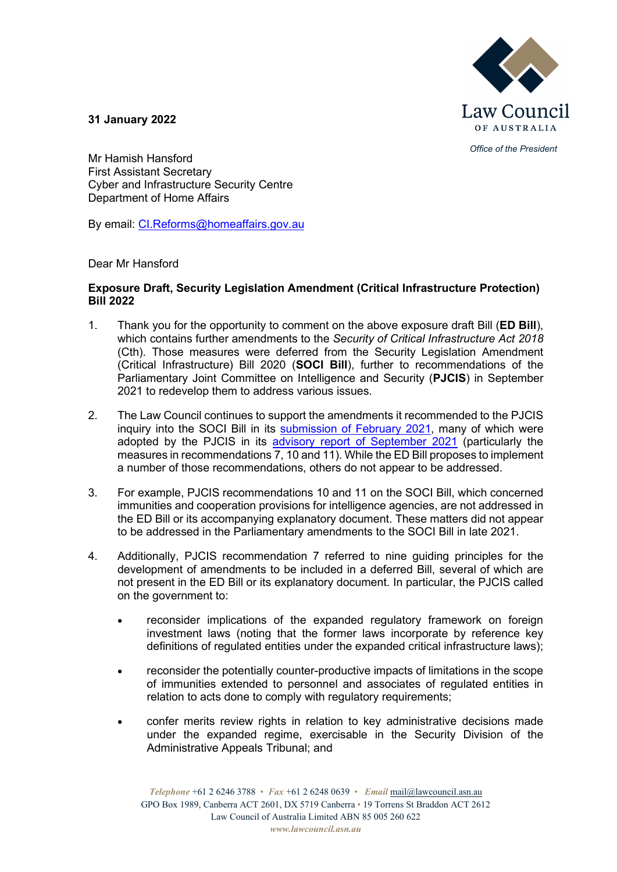

*Office of the President*

**31 January 2022**

Mr Hamish Hansford First Assistant Secretary Cyber and Infrastructure Security Centre Department of Home Affairs

By email: [CI.Reforms@homeaffairs.gov.au](mailto:CI.Reforms@homeaffairs.gov.au)

Dear Mr Hansford

## **Exposure Draft, Security Legislation Amendment (Critical Infrastructure Protection) Bill 2022**

- 1. Thank you for the opportunity to comment on the above exposure draft Bill (**ED Bill**), which contains further amendments to the *Security of Critical Infrastructure Act 2018* (Cth). Those measures were deferred from the Security Legislation Amendment (Critical Infrastructure) Bill 2020 (**SOCI Bill**), further to recommendations of the Parliamentary Joint Committee on Intelligence and Security (**PJCIS**) in September 2021 to redevelop them to address various issues.
- 2. The Law Council continues to support the amendments it recommended to the PJCIS inquiry into the SOCI Bill in its [submission of February](https://www.lawcouncil.asn.au/resources/submissions/security-legislation-amendment-critical-infrastructure-bill-2020-and-review-of-the-security-of-critical-infrastructure-act-2018-cth) 2021, many of which were adopted by the PJCIS in its [advisory report of September 2021](https://www.aph.gov.au/Parliamentary_Business/Committees/Joint/Intelligence_and_Security/SOCI/Report) (particularly the measures in recommendations 7, 10 and 11). While the ED Bill proposes to implement a number of those recommendations, others do not appear to be addressed.
- 3. For example, PJCIS recommendations 10 and 11 on the SOCI Bill, which concerned immunities and cooperation provisions for intelligence agencies, are not addressed in the ED Bill or its accompanying explanatory document. These matters did not appear to be addressed in the Parliamentary amendments to the SOCI Bill in late 2021.
- 4. Additionally, PJCIS recommendation 7 referred to nine guiding principles for the development of amendments to be included in a deferred Bill, several of which are not present in the ED Bill or its explanatory document. In particular, the PJCIS called on the government to:
	- reconsider implications of the expanded regulatory framework on foreign investment laws (noting that the former laws incorporate by reference key definitions of regulated entities under the expanded critical infrastructure laws);
	- reconsider the potentially counter-productive impacts of limitations in the scope of immunities extended to personnel and associates of regulated entities in relation to acts done to comply with regulatory requirements;
	- confer merits review rights in relation to key administrative decisions made under the expanded regime, exercisable in the Security Division of the Administrative Appeals Tribunal; and